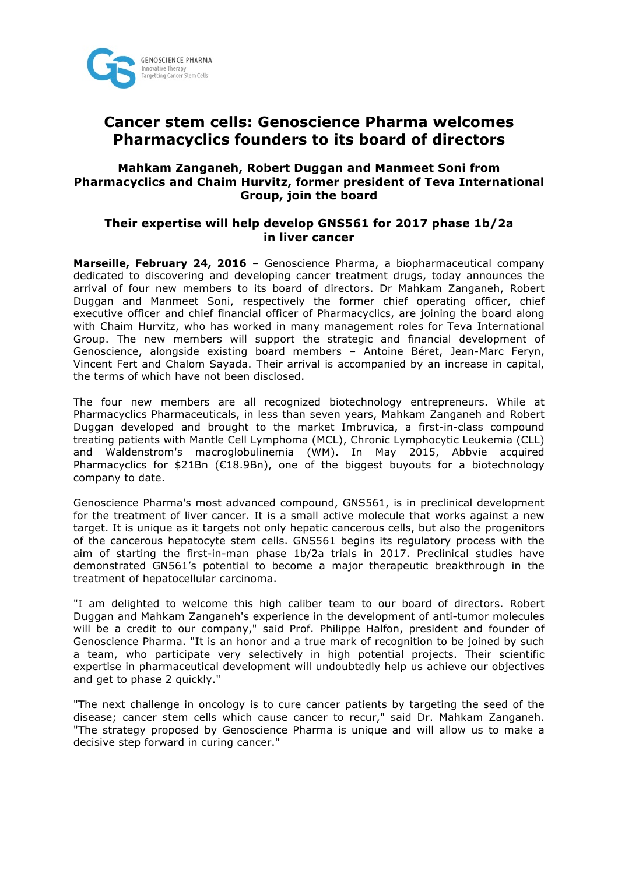

# **Cancer stem cells: Genoscience Pharma welcomes Pharmacyclics founders to its board of directors**

### **Mahkam Zanganeh, Robert Duggan and Manmeet Soni from Pharmacyclics and Chaim Hurvitz, former president of Teva International Group, join the board**

### **Their expertise will help develop GNS561 for 2017 phase 1b/2a in liver cancer**

**Marseille, February 24, 2016** – Genoscience Pharma, a biopharmaceutical company dedicated to discovering and developing cancer treatment drugs, today announces the arrival of four new members to its board of directors. Dr Mahkam Zanganeh, Robert Duggan and Manmeet Soni, respectively the former chief operating officer, chief executive officer and chief financial officer of Pharmacyclics, are joining the board along with Chaim Hurvitz, who has worked in many management roles for Teva International Group. The new members will support the strategic and financial development of Genoscience, alongside existing board members – Antoine Béret, Jean-Marc Feryn, Vincent Fert and Chalom Sayada. Their arrival is accompanied by an increase in capital, the terms of which have not been disclosed.

The four new members are all recognized biotechnology entrepreneurs. While at Pharmacyclics Pharmaceuticals, in less than seven years, Mahkam Zanganeh and Robert Duggan developed and brought to the market Imbruvica, a first-in-class compound treating patients with Mantle Cell Lymphoma (MCL), Chronic Lymphocytic Leukemia (CLL) and Waldenstrom's macroglobulinemia (WM). In May 2015, Abbvie acquired Pharmacyclics for \$21Bn (€18.9Bn), one of the biggest buyouts for a biotechnology company to date.

Genoscience Pharma's most advanced compound, GNS561, is in preclinical development for the treatment of liver cancer. It is a small active molecule that works against a new target. It is unique as it targets not only hepatic cancerous cells, but also the progenitors of the cancerous hepatocyte stem cells. GNS561 begins its regulatory process with the aim of starting the first-in-man phase 1b/2a trials in 2017. Preclinical studies have demonstrated GN561's potential to become a major therapeutic breakthrough in the treatment of hepatocellular carcinoma.

"I am delighted to welcome this high caliber team to our board of directors. Robert Duggan and Mahkam Zanganeh's experience in the development of anti-tumor molecules will be a credit to our company," said Prof. Philippe Halfon, president and founder of Genoscience Pharma. "It is an honor and a true mark of recognition to be joined by such a team, who participate very selectively in high potential projects. Their scientific expertise in pharmaceutical development will undoubtedly help us achieve our objectives and get to phase 2 quickly."

"The next challenge in oncology is to cure cancer patients by targeting the seed of the disease; cancer stem cells which cause cancer to recur," said Dr. Mahkam Zanganeh. "The strategy proposed by Genoscience Pharma is unique and will allow us to make a decisive step forward in curing cancer."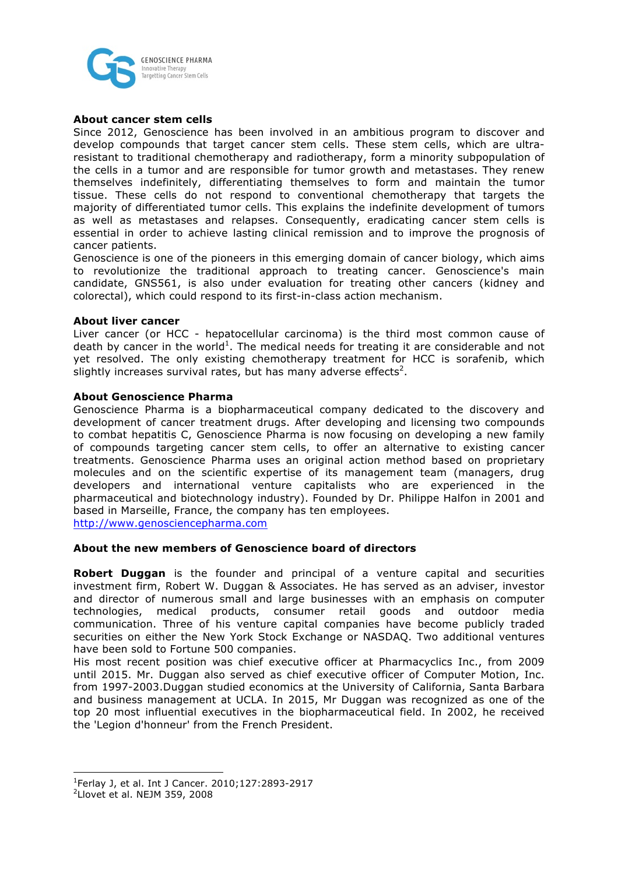

#### **About cancer stem cells**

Since 2012, Genoscience has been involved in an ambitious program to discover and develop compounds that target cancer stem cells. These stem cells, which are ultraresistant to traditional chemotherapy and radiotherapy, form a minority subpopulation of the cells in a tumor and are responsible for tumor growth and metastases. They renew themselves indefinitely, differentiating themselves to form and maintain the tumor tissue. These cells do not respond to conventional chemotherapy that targets the majority of differentiated tumor cells. This explains the indefinite development of tumors as well as metastases and relapses. Consequently, eradicating cancer stem cells is essential in order to achieve lasting clinical remission and to improve the prognosis of cancer patients.

Genoscience is one of the pioneers in this emerging domain of cancer biology, which aims to revolutionize the traditional approach to treating cancer. Genoscience's main candidate, GNS561, is also under evaluation for treating other cancers (kidney and colorectal), which could respond to its first-in-class action mechanism.

#### **About liver cancer**

Liver cancer (or HCC - hepatocellular carcinoma) is the third most common cause of death by cancer in the world<sup>1</sup>. The medical needs for treating it are considerable and not yet resolved. The only existing chemotherapy treatment for HCC is sorafenib, which slightly increases survival rates, but has many adverse effects<sup>2</sup>.

#### **About Genoscience Pharma**

Genoscience Pharma is a biopharmaceutical company dedicated to the discovery and development of cancer treatment drugs. After developing and licensing two compounds to combat hepatitis C, Genoscience Pharma is now focusing on developing a new family of compounds targeting cancer stem cells, to offer an alternative to existing cancer treatments. Genoscience Pharma uses an original action method based on proprietary molecules and on the scientific expertise of its management team (managers, drug developers and international venture capitalists who are experienced in the pharmaceutical and biotechnology industry). Founded by Dr. Philippe Halfon in 2001 and based in Marseille, France, the company has ten employees.

http://www.genosciencepharma.com

#### **About the new members of Genoscience board of directors**

**Robert Duggan** is the founder and principal of a venture capital and securities investment firm, Robert W. Duggan & Associates. He has served as an adviser, investor and director of numerous small and large businesses with an emphasis on computer technologies, medical products, consumer retail goods and outdoor media communication. Three of his venture capital companies have become publicly traded securities on either the New York Stock Exchange or NASDAQ. Two additional ventures have been sold to Fortune 500 companies.

His most recent position was chief executive officer at Pharmacyclics Inc., from 2009 until 2015. Mr. Duggan also served as chief executive officer of Computer Motion, Inc. from 1997-2003.Duggan studied economics at the University of California, Santa Barbara and business management at UCLA. In 2015, Mr Duggan was recognized as one of the top 20 most influential executives in the biopharmaceutical field. In 2002, he received the 'Legion d'honneur' from the French President.

<u> 1989 - Jan Samuel Barbara, margaret e</u>

<sup>1</sup> Ferlay J, et al. Int J Cancer. 2010;127:2893-2917

<sup>&</sup>lt;sup>2</sup>Llovet et al. NEJM 359, 2008